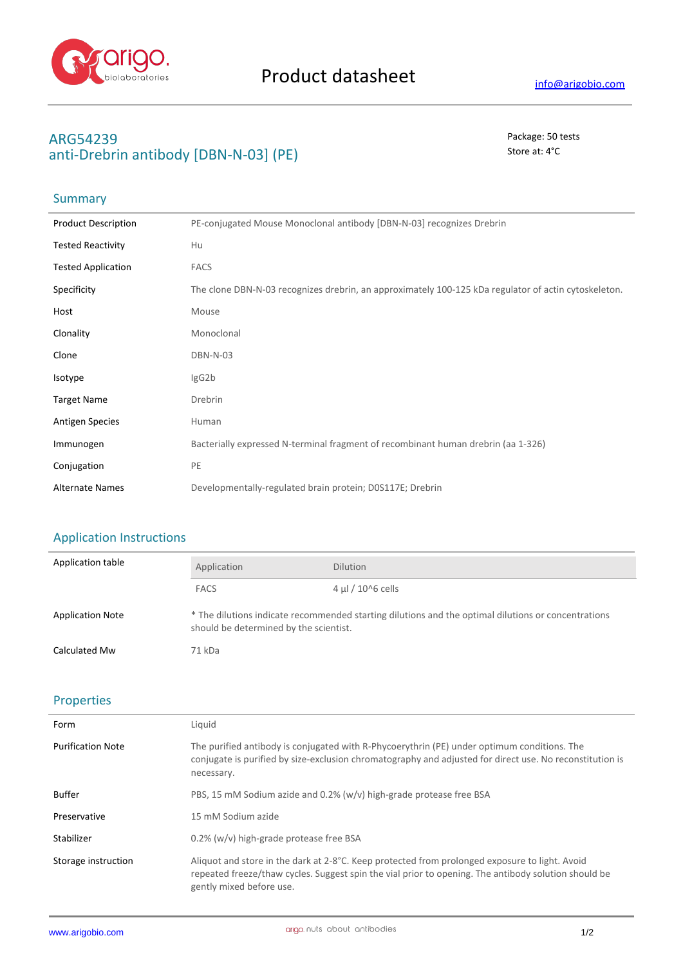

## **ARG54239** Package: 50 tests anti-Drebrin antibody [DBN-N-03] (PE) Store at: 4<sup>°</sup>C

# Summary

| <b>Product Description</b> | PE-conjugated Mouse Monoclonal antibody [DBN-N-03] recognizes Drebrin                                |
|----------------------------|------------------------------------------------------------------------------------------------------|
| <b>Tested Reactivity</b>   | Hu                                                                                                   |
| <b>Tested Application</b>  | <b>FACS</b>                                                                                          |
| Specificity                | The clone DBN-N-03 recognizes drebrin, an approximately 100-125 kDa regulator of actin cytoskeleton. |
| Host                       | Mouse                                                                                                |
| Clonality                  | Monoclonal                                                                                           |
| Clone                      | DBN-N-03                                                                                             |
| Isotype                    | lgG2b                                                                                                |
| <b>Target Name</b>         | Drebrin                                                                                              |
| <b>Antigen Species</b>     | Human                                                                                                |
| Immunogen                  | Bacterially expressed N-terminal fragment of recombinant human drebrin (aa 1-326)                    |
| Conjugation                | PE                                                                                                   |
| <b>Alternate Names</b>     | Developmentally-regulated brain protein; D0S117E; Drebrin                                            |
|                            |                                                                                                      |

### Application Instructions

| Application table       | Application                                                                                                                                   | <b>Dilution</b>        |
|-------------------------|-----------------------------------------------------------------------------------------------------------------------------------------------|------------------------|
|                         | <b>FACS</b>                                                                                                                                   | $4 \mu$ l / 10^6 cells |
| <b>Application Note</b> | * The dilutions indicate recommended starting dilutions and the optimal dilutions or concentrations<br>should be determined by the scientist. |                        |
| <b>Calculated Mw</b>    | 71 kDa                                                                                                                                        |                        |

#### Properties

| Form                     | Liquid                                                                                                                                                                                                                             |
|--------------------------|------------------------------------------------------------------------------------------------------------------------------------------------------------------------------------------------------------------------------------|
| <b>Purification Note</b> | The purified antibody is conjugated with R-Phycoerythrin (PE) under optimum conditions. The<br>conjugate is purified by size-exclusion chromatography and adjusted for direct use. No reconstitution is<br>necessary.              |
| Buffer                   | PBS, 15 mM Sodium azide and 0.2% (w/v) high-grade protease free BSA                                                                                                                                                                |
| Preservative             | 15 mM Sodium azide                                                                                                                                                                                                                 |
| Stabilizer               | 0.2% (w/v) high-grade protease free BSA                                                                                                                                                                                            |
| Storage instruction      | Aliquot and store in the dark at 2-8°C. Keep protected from prolonged exposure to light. Avoid<br>repeated freeze/thaw cycles. Suggest spin the vial prior to opening. The antibody solution should be<br>gently mixed before use. |